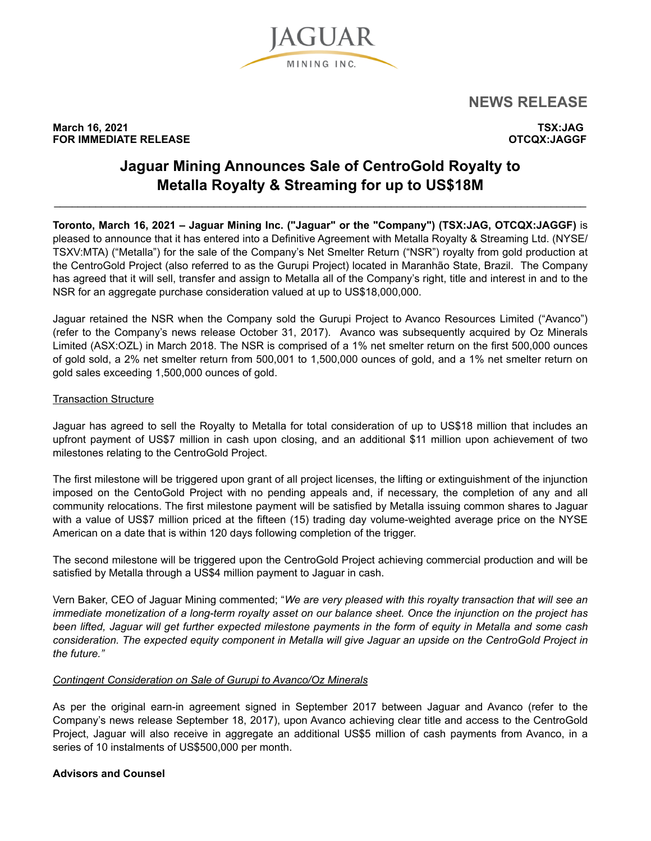

**NEWS RELEASE** 

**March 16, 2021 TSX:JAG FOR IMMEDIATE RELEASE** 

# **Jaguar Mining Announces Sale of CentroGold Royalty to Metalla Royalty & Streaming for up to US\$18M**

 $\mathcal{L}_\mathcal{L} = \{ \mathcal{L}_\mathcal{L} = \{ \mathcal{L}_\mathcal{L} = \{ \mathcal{L}_\mathcal{L} = \{ \mathcal{L}_\mathcal{L} = \{ \mathcal{L}_\mathcal{L} = \{ \mathcal{L}_\mathcal{L} = \{ \mathcal{L}_\mathcal{L} = \{ \mathcal{L}_\mathcal{L} = \{ \mathcal{L}_\mathcal{L} = \{ \mathcal{L}_\mathcal{L} = \{ \mathcal{L}_\mathcal{L} = \{ \mathcal{L}_\mathcal{L} = \{ \mathcal{L}_\mathcal{L} = \{ \mathcal{L}_\mathcal{$ 

**Toronto, March 16, 2021 – Jaguar Mining Inc. ("Jaguar" or the "Company") (TSX:JAG, OTCQX:JAGGF)** is pleased to announce that it has entered into a Definitive Agreement with Metalla Royalty & Streaming Ltd. (NYSE/ TSXV:MTA) ("Metalla") for the sale of the Company's Net Smelter Return ("NSR") royalty from gold production at the CentroGold Project (also referred to as the Gurupi Project) located in Maranhão State, Brazil. The Company has agreed that it will sell, transfer and assign to Metalla all of the Company's right, title and interest in and to the NSR for an aggregate purchase consideration valued at up to US\$18,000,000.

Jaguar retained the NSR when the Company sold the Gurupi Project to Avanco Resources Limited ("Avanco") (refer to the Company's news release October 31, 2017). Avanco was subsequently acquired by Oz Minerals Limited (ASX:OZL) in March 2018. The NSR is comprised of a 1% net smelter return on the first 500,000 ounces of gold sold, a 2% net smelter return from 500,001 to 1,500,000 ounces of gold, and a 1% net smelter return on gold sales exceeding 1,500,000 ounces of gold.

## Transaction Structure

Jaguar has agreed to sell the Royalty to Metalla for total consideration of up to US\$18 million that includes an upfront payment of US\$7 million in cash upon closing, and an additional \$11 million upon achievement of two milestones relating to the CentroGold Project.

The first milestone will be triggered upon grant of all project licenses, the lifting or extinguishment of the injunction imposed on the CentoGold Project with no pending appeals and, if necessary, the completion of any and all community relocations. The first milestone payment will be satisfied by Metalla issuing common shares to Jaguar with a value of US\$7 million priced at the fifteen (15) trading day volume-weighted average price on the NYSE American on a date that is within 120 days following completion of the trigger.

The second milestone will be triggered upon the CentroGold Project achieving commercial production and will be satisfied by Metalla through a US\$4 million payment to Jaguar in cash.

Vern Baker, CEO of Jaguar Mining commented; "*We are very pleased with this royalty transaction that will see an immediate monetization of a long-term royalty asset on our balance sheet. Once the injunction on the project has been lifted, Jaguar will get further expected milestone payments in the form of equity in Metalla and some cash consideration. The expected equity component in Metalla will give Jaguar an upside on the CentroGold Project in the future."* 

## *Contingent Consideration on Sale of Gurupi to Avanco/Oz Minerals*

As per the original earn-in agreement signed in September 2017 between Jaguar and Avanco (refer to the Company's news release September 18, 2017), upon Avanco achieving clear title and access to the CentroGold Project, Jaguar will also receive in aggregate an additional US\$5 million of cash payments from Avanco, in a series of 10 instalments of US\$500,000 per month.

## **Advisors and Counsel**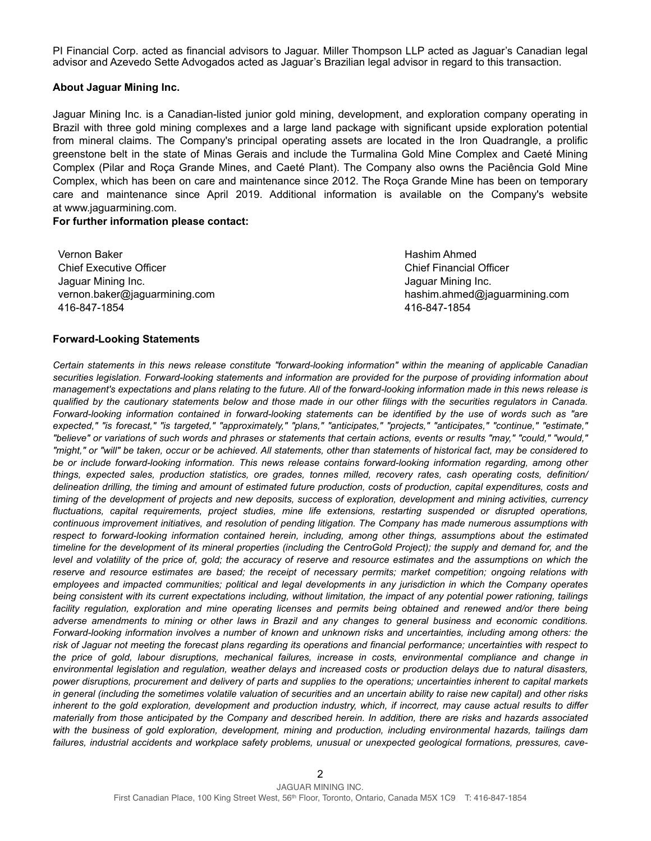PI Financial Corp. acted as financial advisors to Jaguar. Miller Thompson LLP acted as Jaguar's Canadian legal advisor and Azevedo Sette Advogados acted as Jaguar's Brazilian legal advisor in regard to this transaction.

### **About Jaguar Mining Inc.**

Jaguar Mining Inc. is a Canadian-listed junior gold mining, development, and exploration company operating in Brazil with three gold mining complexes and a large land package with significant upside exploration potential from mineral claims. The Company's principal operating assets are located in the Iron Quadrangle, a prolific greenstone belt in the state of Minas Gerais and include the Turmalina Gold Mine Complex and Caeté Mining Complex (Pilar and Roça Grande Mines, and Caeté Plant). The Company also owns the Paciência Gold Mine Complex, which has been on care and maintenance since 2012. The Roça Grande Mine has been on temporary care and maintenance since April 2019. Additional information is available on the Company's website at www.jaguarmining.com.

#### **For further information please contact:**

Vernon Baker Chief Executive Officer Jaguar Mining Inc. vernon.baker@jaguarmining.com 416-847-1854

Hashim Ahmed Chief Financial Officer Jaguar Mining Inc. hashim.ahmed@jaguarmining.com 416-847-1854

#### **Forward-Looking Statements**

*Certain statements in this news release constitute "forward-looking information" within the meaning of applicable Canadian securities legislation. Forward-looking statements and information are provided for the purpose of providing information about management's expectations and plans relating to the future. All of the forward-looking information made in this news release is qualified by the cautionary statements below and those made in our other filings with the securities regulators in Canada. Forward-looking information contained in forward-looking statements can be identified by the use of words such as "are expected," "is forecast," "is targeted," "approximately," "plans," "anticipates," "projects," "anticipates," "continue," "estimate," "believe" or variations of such words and phrases or statements that certain actions, events or results "may," "could," "would," "might," or "will" be taken, occur or be achieved. All statements, other than statements of historical fact, may be considered to be or include forward-looking information. This news release contains forward-looking information regarding, among other things, expected sales, production statistics, ore grades, tonnes milled, recovery rates, cash operating costs, definition/ delineation drilling, the timing and amount of estimated future production, costs of production, capital expenditures, costs and timing of the development of projects and new deposits, success of exploration, development and mining activities, currency fluctuations, capital requirements, project studies, mine life extensions, restarting suspended or disrupted operations, continuous improvement initiatives, and resolution of pending litigation. The Company has made numerous assumptions with respect to forward-looking information contained herein, including, among other things, assumptions about the estimated timeline for the development of its mineral properties (including the CentroGold Project); the supply and demand for, and the level and volatility of the price of, gold; the accuracy of reserve and resource estimates and the assumptions on which the reserve and resource estimates are based; the receipt of necessary permits; market competition; ongoing relations with employees and impacted communities; political and legal developments in any jurisdiction in which the Company operates being consistent with its current expectations including, without limitation, the impact of any potential power rationing, tailings facility regulation, exploration and mine operating licenses and permits being obtained and renewed and/or there being adverse amendments to mining or other laws in Brazil and any changes to general business and economic conditions. Forward-looking information involves a number of known and unknown risks and uncertainties, including among others: the risk of Jaguar not meeting the forecast plans regarding its operations and financial performance; uncertainties with respect to the price of gold, labour disruptions, mechanical failures, increase in costs, environmental compliance and change in environmental legislation and regulation, weather delays and increased costs or production delays due to natural disasters, power disruptions, procurement and delivery of parts and supplies to the operations; uncertainties inherent to capital markets in general (including the sometimes volatile valuation of securities and an uncertain ability to raise new capital) and other risks inherent to the gold exploration, development and production industry, which, if incorrect, may cause actual results to differ materially from those anticipated by the Company and described herein. In addition, there are risks and hazards associated with the business of gold exploration, development, mining and production, including environmental hazards, tailings dam failures, industrial accidents and workplace safety problems, unusual or unexpected geological formations, pressures, cave-*